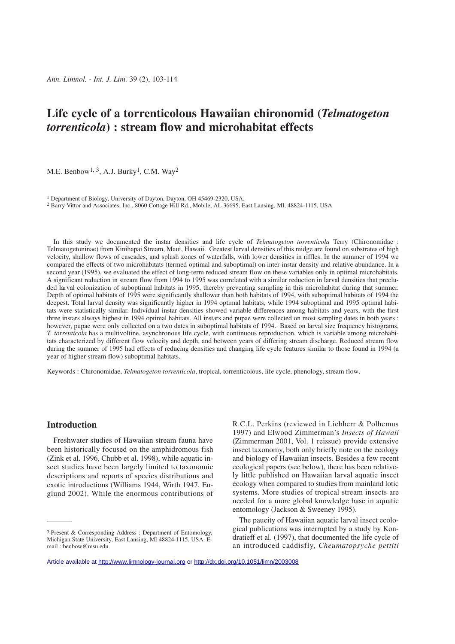# **Life cycle of a torrenticolous Hawaiian chironomid (***Telmatogeton torrenticola***) : stream flow and microhabitat effects**

M.E. Benbow<sup>1, 3</sup>, A.J. Burky<sup>1</sup>, C.M. Way<sup>2</sup>

1 Department of Biology, University of Dayton, Dayton, OH 45469-2320, USA.

2 Barry Vittor and Associates, Inc., 8060 Cottage Hill Rd., Mobile, AL 36695, East Lansing, MI, 48824-1115, USA

In this study we documented the instar densities and life cycle of *Telmatogeton torrenticola* Terry (Chironomidae : Telmatogetoninae) from Kinihapai Stream, Maui, Hawaii. Greatest larval densities of this midge are found on substrates of high velocity, shallow flows of cascades, and splash zones of waterfalls, with lower densities in riffles. In the summer of 1994 we compared the effects of two microhabitats (termed optimal and suboptimal) on inter-instar density and relative abundance. In a second year (1995), we evaluated the effect of long-term reduced stream flow on these variables only in optimal microhabitats. A significant reduction in stream flow from 1994 to 1995 was correlated with a similar reduction in larval densities that precluded larval colonization of suboptimal habitats in 1995, thereby preventing sampling in this microhabitat during that summer. Depth of optimal habitats of 1995 were significantly shallower than both habitats of 1994, with suboptimal habitats of 1994 the deepest. Total larval density was significantly higher in 1994 optimal habitats, while 1994 suboptimal and 1995 optimal habitats were statistically similar. Individual instar densities showed variable differences among habitats and years, with the first three instars always highest in 1994 optimal habitats. All instars and pupae were collected on most sampling dates in both years ; however, pupae were only collected on a two dates in suboptimal habitats of 1994. Based on larval size frequency histograms, *T. torrenticola* has a multivoltine, asynchronous life cycle, with continuous reproduction, which is variable among microhabitats characterized by different flow velocity and depth, and between years of differing stream discharge. Reduced stream flow during the summer of 1995 had effects of reducing densities and changing life cycle features similar to those found in 1994 (a year of higher stream flow) suboptimal habitats.

Keywords : Chironomidae, *Telmatogeton torrenticola*, tropical, torrenticolous, life cycle, phenology, stream flow.

## **Introduction**

Freshwater studies of Hawaiian stream fauna have been historically focused on the amphidromous fish (Zink et al. 1996, Chubb et al. 1998), while aquatic insect studies have been largely limited to taxonomic descriptions and reports of species distributions and exotic introductions (Williams 1944, Wirth 1947, Englund 2002). While the enormous contributions of R.C.L. Perkins (reviewed in Liebherr & Polhemus 1997) and Elwood Zimmerman's *Insects of Hawaii* (Zimmerman 2001, Vol. 1 reissue) provide extensive insect taxonomy, both only briefly note on the ecology and biology of Hawaiian insects. Besides a few recent ecological papers (see below), there has been relatively little published on Hawaiian larval aquatic insect ecology when compared to studies from mainland lotic systems. More studies of tropical stream insects are needed for a more global knowledge base in aquatic entomology (Jackson & Sweeney 1995).

The paucity of Hawaiian aquatic larval insect ecological publications was interrupted by a study by Kondratieff et al. (1997), that documented the life cycle of an introduced caddisfly, *Cheumatopsyche pettiti*

<sup>3</sup> Present & Corresponding Address : Department of Entomology, Michigan State University, East Lansing, MI 48824-1115, USA. Email : benbow@msu.edu

Article available at <http://www.limnology-journal.org> or <http://dx.doi.org/10.1051/limn/2003008>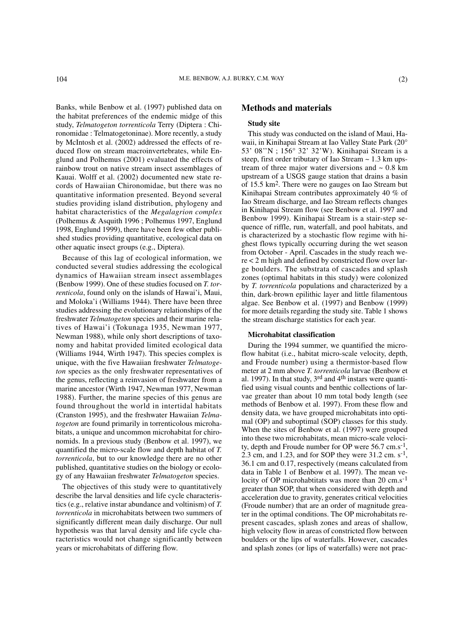Banks, while Benbow et al. (1997) published data on the habitat preferences of the endemic midge of this study, *Telmatogeton torrenticola* Terry (Diptera : Chironomidae : Telmatogetoninae). More recently, a study by McIntosh et al. (2002) addressed the effects of reduced flow on stream macroinvertebrates, while Englund and Polhemus (2001) evaluated the effects of rainbow trout on native stream insect assemblages of Kauai. Wolff et al. (2002) documented new state records of Hawaiian Chironomidae, but there was no quantitative information presented. Beyond several studies providing island distribution, phylogeny and habitat characteristics of the *Megalagrion complex* (Polhemus & Asquith 1996 ; Polhemus 1997, Englund 1998, Englund 1999), there have been few other published studies providing quantitative, ecological data on other aquatic insect groups (e.g., Diptera).

Because of this lag of ecological information, we conducted several studies addressing the ecological dynamics of Hawaiian stream insect assemblages (Benbow 1999). One of these studies focused on *T. torrenticola*, found only on the islands of Hawai'i, Maui, and Moloka'i (Williams 1944). There have been three studies addressing the evolutionary relationships of the freshwater *Telmatogeton* species and their marine relatives of Hawai'i (Tokunaga 1935, Newman 1977, Newman 1988), while only short descriptions of taxonomy and habitat provided limited ecological data (Williams 1944, Wirth 1947). This species complex is unique, with the five Hawaiian freshwater *Telmatogeton* species as the only freshwater representatives of the genus, reflecting a reinvasion of freshwater from a marine ancestor (Wirth 1947, Newman 1977, Newman 1988). Further, the marine species of this genus are found throughout the world in intertidal habitats (Cranston 1995), and the freshwater Hawaiian *Telmatogeton* are found primarily in torrenticolous microhabitats, a unique and uncommon microhabitat for chironomids. In a previous study (Benbow et al. 1997), we quantified the micro-scale flow and depth habitat of *T. torrenticola*, but to our knowledge there are no other published, quantitative studies on the biology or ecology of any Hawaiian freshwater *Telmatogeton* species.

The objectives of this study were to quantitatively describe the larval densities and life cycle characteristics (e.g., relative instar abundance and voltinism) of *T. torrenticola* in microhabitats between two summers of significantly different mean daily discharge. Our null hypothesis was that larval density and life cycle characteristics would not change significantly between years or microhabitats of differing flow.

## **Methods and materials**

# **Study site**

This study was conducted on the island of Maui, Hawaii, in Kinihapai Stream at Iao Valley State Park (20° 53' 08''N ; 156° 32' 32'W). Kinihapai Stream is a steep, first order tributary of Iao Stream ~ 1.3 km upstream of three major water diversions and  $\sim 0.8$  km upstream of a USGS gauge station that drains a basin of 15.5 km2. There were no gauges on Iao Stream but Kinihapai Stream contributes approximately 40 % of Iao Stream discharge, and Iao Stream reflects changes in Kinihapai Stream flow (see Benbow et al. 1997 and Benbow 1999). Kinihapai Stream is a stair-step sequence of riffle, run, waterfall, and pool habitats, and is characterized by a stochastic flow regime with highest flows typically occurring during the wet season from October - April. Cascades in the study reach were < 2 m high and defined by constricted flow over large boulders. The substrata of cascades and splash zones (optimal habitats in this study) were colonized by *T. torrenticola* populations and characterized by a thin, dark-brown epilithic layer and little filamentous algae. See Benbow et al. (1997) and Benbow (1999) for more details regarding the study site. Table 1 shows the stream discharge statistics for each year.

#### **Microhabitat classification**

During the 1994 summer, we quantified the microflow habitat (i.e., habitat micro-scale velocity, depth, and Froude number) using a thermistor-based flow meter at 2 mm above *T. torrenticola* larvae (Benbow et al. 1997). In that study,  $3<sup>rd</sup>$  and  $4<sup>th</sup>$  instars were quantified using visual counts and benthic collections of larvae greater than about 10 mm total body length (see methods of Benbow et al. 1997). From these flow and density data, we have grouped microhabitats into optimal (OP) and suboptimal (SOP) classes for this study. When the sites of Benbow et al. (1997) were grouped into these two microhabitats, mean micro-scale velocity, depth and Froude number for OP were 56.7 cm.s-1, 2.3 cm, and 1.23, and for SOP they were  $31.2$  cm. s<sup>-1</sup>, 36.1 cm and 0.17, respectively (means calculated from data in Table 1 of Benbow et al. 1997). The mean velocity of OP microhabtitats was more than 20 cm.s<sup>-1</sup> greater than SOP, that when considered with depth and acceleration due to gravity, generates critical velocities (Froude number) that are an order of magnitude greater in the optimal conditions. The OP microhabitats represent cascades, splash zones and areas of shallow, high velocity flow in areas of constricted flow between boulders or the lips of waterfalls. However, cascades and splash zones (or lips of waterfalls) were not prac-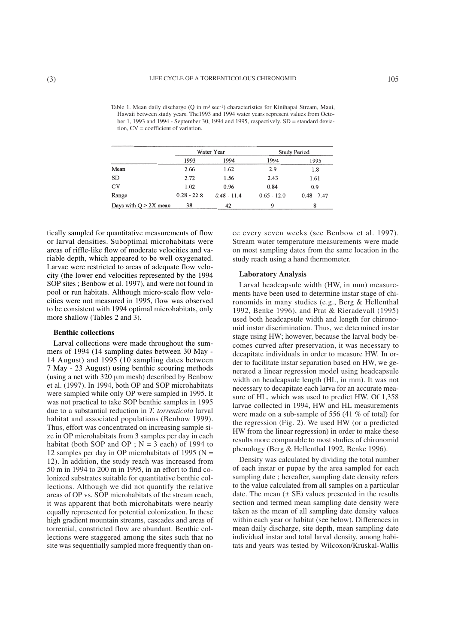|                         |               | Water Year    | Study Period  |               |  |  |
|-------------------------|---------------|---------------|---------------|---------------|--|--|
|                         | 1993          | 1994          | 1994          | 1995          |  |  |
| Mean                    | 2.66          | 1.62          | 2.9           | 1.8           |  |  |
| SD                      | 2.72          | 1.56          | 2.43          | 1.61          |  |  |
| CV                      | 1.02          | 0.96          | 0.84          | 0.9           |  |  |
| Range                   | $0.28 - 22.8$ | $0.48 - 11.4$ | $0.65 - 12.0$ | $0.48 - 7.47$ |  |  |
| Days with $Q > 2X$ mean | 38            | 42            | Q             | 8             |  |  |

Table 1. Mean daily discharge  $(O \text{ in } m^3 \text{ sec}^{-1})$  characteristics for Kinihapai Stream, Maui, Hawaii between study years. The1993 and 1994 water years represent values from October 1, 1993 and 1994 - September 30, 1994 and 1995, respectively. SD = standard deviation, CV = coefficient of variation.

tically sampled for quantitative measurements of flow or larval densities. Suboptimal microhabitats were areas of riffle-like flow of moderate velocities and variable depth, which appeared to be well oxygenated. Larvae were restricted to areas of adequate flow velocity (the lower end velocities represented by the 1994 SOP sites ; Benbow et al. 1997), and were not found in pool or run habitats. Although micro-scale flow velocities were not measured in 1995, flow was observed to be consistent with 1994 optimal microhabitats, only more shallow (Tables 2 and 3).

#### **Benthic collections**

Larval collections were made throughout the summers of 1994 (14 sampling dates between 30 May - 14 August) and 1995 (10 sampling dates between 7 May - 23 August) using benthic scouring methods (using a net with 320 µm mesh) described by Benbow et al. (1997). In 1994, both OP and SOP microhabitats were sampled while only OP were sampled in 1995. It was not practical to take SOP benthic samples in 1995 due to a substantial reduction in *T. torrenticola* larval habitat and associated populations (Benbow 1999). Thus, effort was concentrated on increasing sample size in OP microhabitats from 3 samples per day in each habitat (both SOP and OP ;  $N = 3$  each) of 1994 to 12 samples per day in OP microhabitats of 1995 ( $N =$ 12). In addition, the study reach was increased from 50 m in 1994 to 200 m in 1995, in an effort to find colonized substrates suitable for quantitative benthic collections. Although we did not quantify the relative areas of OP vs. SOP microhabitats of the stream reach, it was apparent that both microhabitats were nearly equally represented for potential colonization. In these high gradient mountain streams, cascades and areas of torrential, constricted flow are abundant. Benthic collections were staggered among the sites such that no site was sequentially sampled more frequently than once every seven weeks (see Benbow et al. 1997). Stream water temperature measurements were made on most sampling dates from the same location in the study reach using a hand thermometer.

#### **Laboratory Analysis**

Larval headcapsule width (HW, in mm) measurements have been used to determine instar stage of chironomids in many studies (e.g., Berg & Hellenthal 1992, Benke 1996), and Prat & Rieradevall (1995) used both headcapsule width and length for chironomid instar discrimination. Thus, we determined instar stage using HW; however, because the larval body becomes curved after preservation, it was necessary to decapitate individuals in order to measure HW. In order to facilitate instar separation based on HW, we generated a linear regression model using headcapsule width on headcapsule length (HL, in mm). It was not necessary to decapitate each larva for an accurate measure of HL, which was used to predict HW. Of 1,358 larvae collected in 1994, HW and HL measurements were made on a sub-sample of 556 (41 % of total) for the regression (Fig. 2). We used HW (or a predicted HW from the linear regression) in order to make these results more comparable to most studies of chironomid phenology (Berg & Hellenthal 1992, Benke 1996).

Density was calculated by dividing the total number of each instar or pupae by the area sampled for each sampling date ; hereafter, sampling date density refers to the value calculated from all samples on a particular date. The mean  $(\pm \text{ SE})$  values presented in the results section and termed mean sampling date density were taken as the mean of all sampling date density values within each year or habitat (see below). Differences in mean daily discharge, site depth, mean sampling date individual instar and total larval density, among habitats and years was tested by Wilcoxon/Kruskal-Wallis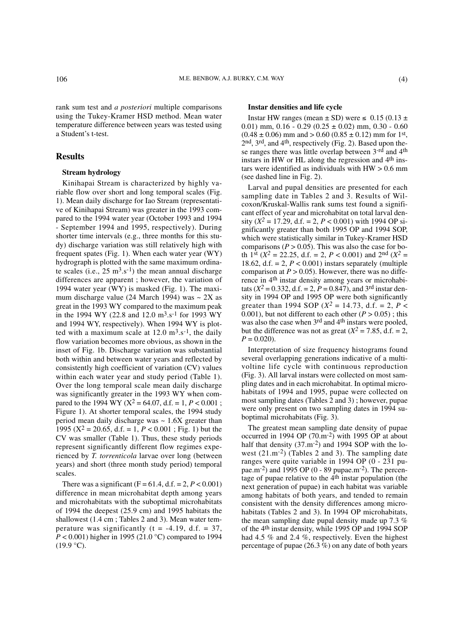rank sum test and *a posteriori* multiple comparisons using the Tukey-Kramer HSD method. Mean water temperature difference between years was tested using a Student's t-test.

## **Results**

#### **Stream hydrology**

Kinihapai Stream is characterized by highly variable flow over short and long temporal scales (Fig. 1). Mean daily discharge for Iao Stream (representative of Kinihapai Stream) was greater in the 1993 compared to the 1994 water year (October 1993 and 1994 - September 1994 and 1995, respectively). During shorter time intervals (e.g., three months for this study) discharge variation was still relatively high with frequent spates (Fig. 1). When each water year (WY) hydrograph is plotted with the same maximum ordinate scales (i.e.,  $25 \text{ m}^3 \text{.} \text{s}^{-1}$ ) the mean annual discharge differences are apparent ; however, the variation of 1994 water year (WY) is masked (Fig. 1). The maximum discharge value (24 March 1994) was  $\sim$  2X as great in the 1993 WY compared to the maximum peak in the 1994 WY (22.8 and 12.0  $\text{m}^3$ .s<sup>-1</sup> for 1993 WY and 1994 WY, respectively). When 1994 WY is plotted with a maximum scale at  $12.0 \text{ m}^3 \text{.} \text{s}^{-1}$ , the daily flow variation becomes more obvious, as shown in the inset of Fig. 1b. Discharge variation was substantial both within and between water years and reflected by consistently high coefficient of variation (CV) values within each water year and study period (Table 1). Over the long temporal scale mean daily discharge was significantly greater in the 1993 WY when compared to the 1994 WY ( $X^2 = 64.07$ , d.f. = 1,  $P < 0.001$ ; Figure 1). At shorter temporal scales, the 1994 study period mean daily discharge was  $\sim 1.6X$  greater than 1995 ( $X^2 = 20.65$ , d.f. = 1,  $P < 0.001$ ; Fig. 1) but the CV was smaller (Table 1). Thus, these study periods represent significantly different flow regimes experienced by *T. torrenticola* larvae over long (between years) and short (three month study period) temporal scales.

There was a significant  $(F = 61.4, d.f. = 2, P < 0.001)$ difference in mean microhabitat depth among years and microhabitats with the suboptimal microhabitats of 1994 the deepest (25.9 cm) and 1995 habitats the shallowest (1.4 cm ; Tables 2 and 3). Mean water temperature was significantly ( $t = -4.19$ , d.f. = 37, *P* < 0.001) higher in 1995 (21.0 °C) compared to 1994  $(19.9 °C)$ .

## **Instar densities and life cycle**

Instar HW ranges (mean  $\pm$  SD) were  $\leq$  0.15 (0.13  $\pm$ 0.01) mm,  $0.16 - 0.29$  (0.25  $\pm$  0.02) mm, 0.30 - 0.60  $(0.48 \pm 0.06)$  mm and  $> 0.60$   $(0.85 \pm 0.12)$  mm for 1<sup>st</sup>, 2nd, 3rd, and 4th, respectively (Fig. 2). Based upon these ranges there was little overlap between 3-rd and 4th instars in HW or HL along the regression and 4th instars were identified as individuals with  $HW > 0.6$  mm (see dashed line in Fig. 2).

Larval and pupal densities are presented for each sampling date in Tables 2 and 3. Results of Wilcoxon/Kruskal-Wallis rank sums test found a significant effect of year and microhabitat on total larval density ( $X^2 = 17.29$ , d.f. = 2,  $P < 0.001$ ) with 1994 OP significantly greater than both 1995 OP and 1994 SOP, which were statistically similar in Tukey-Kramer HSD comparisons ( $P > 0.05$ ). This was also the case for both 1<sup>st</sup> ( $X^2 = 22.25$ , d.f. = 2,  $P < 0.001$ ) and  $2<sup>nd</sup>$  ( $X^2 =$ 18.62, d.f.  $= 2, P < 0.001$ ) instars separately (multiple comparison at  $P > 0.05$ ). However, there was no difference in 4th instar density among years or microhabitats ( $X^2 = 0.332$ , d.f. = 2,  $P = 0.847$ ), and 3<sup>rd</sup> instar density in 1994 OP and 1995 OP were both significantly greater than 1994 SOP ( $X^2 = 14.73$ , d.f. = 2,  $P <$ 0.001), but not different to each other  $(P > 0.05)$ ; this was also the case when 3<sup>rd</sup> and 4<sup>th</sup> instars were pooled, but the difference was not as great  $(X^2 = 7.85, d.f. = 2,$  $P = 0.020$ .

Interpretation of size frequency histograms found several overlapping generations indicative of a multivoltine life cycle with continuous reproduction (Fig. 3). All larval instars were collected on most sampling dates and in each microhabitat. In optimal microhabitats of 1994 and 1995, pupae were collected on most sampling dates (Tables 2 and 3) ; however, pupae were only present on two sampling dates in 1994 suboptimal microhabitats (Fig. 3).

The greatest mean sampling date density of pupae occurred in 1994 OP  $(70 \text{.m}^{-2})$  with 1995 OP at about half that density (37.m<sup>-2</sup>) and 1994 SOP with the lowest (21.m-2) (Tables 2 and 3). The sampling date ranges were quite variable in 1994 OP (0 - 231 pupae.m<sup>-2</sup>) and 1995 OP (0 - 89 pupae.m<sup>-2</sup>). The percentage of pupae relative to the  $4<sup>th</sup>$  instar population (the next generation of pupae) in each habitat was variable among habitats of both years, and tended to remain consistent with the density differences among microhabitats (Tables 2 and 3). In 1994 OP microhabitats, the mean sampling date pupal density made up 7.3 % of the 4th instar density, while 1995 OP and 1994 SOP had 4.5 % and 2.4 %, respectively. Even the highest percentage of pupae (26.3 %) on any date of both years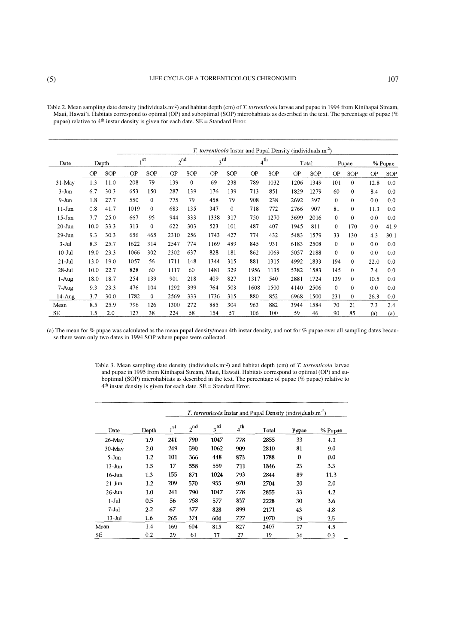| Table 2. Mean sampling date density (individuals.m <sup>-2</sup> ) and habitat depth (cm) of T. torrenticola larvae and pupae in 1994 from Kinihapai Stream, |  |
|--------------------------------------------------------------------------------------------------------------------------------------------------------------|--|
| Maui, Hawai'i. Habitats correspond to optimal (OP) and suboptimal (SOP) microhabitats as described in the text. The percentage of pupae (%                   |  |
| pupae) relative to 4 <sup>th</sup> instar density is given for each date. $SE = Standard Error$ .                                                            |  |

|               |           |            | <i>T. torrenticola</i> Instar and Pupal Density (individuals.m <sup>-2</sup> ) |              |           |              |          |            |                 |      |       |            |              |              |           |      |
|---------------|-----------|------------|--------------------------------------------------------------------------------|--------------|-----------|--------------|----------|------------|-----------------|------|-------|------------|--------------|--------------|-----------|------|
| Depth<br>Date |           | , st       |                                                                                | $2^{nd}$     |           |              | $3^{rd}$ |            | $4^{\text{th}}$ |      | Total |            | Pupae        |              | % Pupae   |      |
|               | <b>OP</b> | <b>SOP</b> | <b>OP</b>                                                                      | <b>SOP</b>   | <b>OP</b> | <b>SOP</b>   | OΡ       | <b>SOP</b> | <b>OP</b>       | SOP  | OΡ    | <b>SOP</b> | OΡ           | <b>SOP</b>   | <b>OP</b> | SOP  |
| $31-May$      | 1.3       | 11.0       | 208                                                                            | 79           | 139       | $\mathbf{0}$ | 69       | 238        | 789             | 1032 | 1206  | 1349       | 101          | $\theta$     | 12.8      | 0.0  |
| $3-Jun$       | 6.7       | 30.3       | 653                                                                            | 150          | 287       | 139          | 176      | 139        | 713             | 851  | 1829  | 1279       | 60           | $\Omega$     | 8.4       | 0.0  |
| $9-Jun$       | 1.8       | 27.7       | 550                                                                            | $\mathbf{0}$ | 775       | 79           | 458      | 79         | 908             | 238  | 2692  | 397        | $\theta$     | $\Omega$     | 0.0       | 0.0  |
| $11$ -Jun     | 0.8       | 41.7       | 1019                                                                           | $\theta$     | 683       | 135          | 347      | $\theta$   | 718             | 772  | 2766  | 907        | 81           | $\Omega$     | 11.3      | 0.0  |
| $15 - Jun$    | 7.7       | 25.0       | 667                                                                            | 95           | 944       | 333          | 1338     | 317        | 750             | 1270 | 3699  | 2016       | $\theta$     | $\Omega$     | 0.0       | 0.0  |
| $20 - Jun$    | 10.0      | 33.3       | 313                                                                            | 0            | 622       | 303          | 523      | 101        | 487             | 407  | 1945  | 811        | $\theta$     | 170          | 0.0       | 41.9 |
| $29 - Jun$    | 9.3       | 30.3       | 656                                                                            | 465          | 2310      | 256          | 1743     | 427        | 774             | 432  | 5483  | 1579       | 33           | 130          | 4.3       | 30.1 |
| $3-Jul$       | 8.3       | 25.7       | 1622                                                                           | 314          | 2547      | 774          | 1169     | 489        | 845             | 931  | 6183  | 2508       | $\theta$     | $\Omega$     | 0.0       | 0.0  |
| $10 -$ Jul    | 19.0      | 23.3       | 1066                                                                           | 302          | 2302      | 637          | 828      | 181        | 862             | 1069 | 5057  | 2188       | $\mathbf{0}$ | $\mathbf{0}$ | 0.0       | 0.0  |
| $21-Jul$      | 13.0      | 19.0       | 1057                                                                           | 56           | 1711      | 148          | 1344     | 315        | 881             | 1315 | 4992  | 1833       | 194          | $\Omega$     | 22.0      | 0.0  |
| $28 -$ Jul    | 10.0      | 22.7       | 828                                                                            | 60           | 1117      | 60           | 1481     | 329        | 1956            | 1135 | 5382  | 1583       | 145          | $\theta$     | 7.4       | 0.0  |
| $1-Auq$       | 18.0      | 18.7       | 254                                                                            | 139          | 901       | 218          | 409      | 827        | 1317            | 540  | 2881  | 1724       | 139          | $\Omega$     | 10.5      | 0.0  |
| 7-Aug         | 9.3       | 23.3       | 476                                                                            | 104          | 1292      | 399          | 764      | 503        | 1608            | 1500 | 4140  | 2506       | $\Omega$     | $\Omega$     | 0.0       | 0.0  |
| $14-Au$ g     | 3.7       | 30.0       | 1782                                                                           | $\Omega$     | 2569      | 333          | 1736     | 315        | 880             | 852  | 6968  | 1500       | 231          | $\Omega$     | 26.3      | 0.0  |
| Mean          | 8.5       | 25.9       | 796                                                                            | 126          | 1300      | 272          | 885      | 304        | 963             | 882  | 3944  | 1584       | 70           | 21           | 7.3       | 2.4  |
| <b>SE</b>     | 1.5       | 2.0        | 127                                                                            | 38           | 224       | 58           | 154      | 57         | 106             | 100  | 59    | 46         | 90           | 85           | (a)       | (a)  |

(a) The mean for % pupae was calculated as the mean pupal density/mean 4th instar density, and not for % pupae over all sampling dates because there were only two dates in 1994 SOP where pupae were collected.

> Table 3. Mean sampling date density (individuals.m-2) and habitat depth (cm) of *T. torrenticola* larvae and pupae in 1995 from Kinihapai Stream, Maui, Hawaii. Habitats correspond to optimal (OP) and suboptimal (SOP) microhabitats as described in the text. The percentage of pupae (% pupae) relative to 4th instar density is given for each date. SE = Standard Error.

|                   |       |      | T. torrenticola Instar and Pupal Density (individuals.m <sup>-2</sup> ) |              |                 |       |          |         |  |  |  |  |
|-------------------|-------|------|-------------------------------------------------------------------------|--------------|-----------------|-------|----------|---------|--|--|--|--|
| Date              | Depth | , st | $2^{nd}$                                                                | $3^{\rm rd}$ | $4^{\text{th}}$ | Total | Pupae    | % Pupae |  |  |  |  |
| $26$ -May         | 1.9   | 241  | 790                                                                     | 1047         | 778             | 2855  | 33       | 4.2     |  |  |  |  |
| 30-May            | 2.0   | 249  | 590                                                                     | 1062         | 909             | 2810  | 81       | 9.0     |  |  |  |  |
| 5-Jun             | 1.2   | 101  | 366                                                                     | 448          | 873             | 1788  | $\bf{0}$ | 0.0     |  |  |  |  |
| $13 - Jun$        | 1.5   | 17   | 558                                                                     | 559          | 711             | 1846  | 23       | 3.3     |  |  |  |  |
| $16$ -Jun         | 1.3   | 155  | 871                                                                     | 1024         | 793             | 2844  | 89       | 11.3    |  |  |  |  |
| $21 - Jun$        | 1.2   | 209  | 570                                                                     | 955          | 970             | 2704  | 20       | 2.0     |  |  |  |  |
| $26 - Jun$        | 1.0   | 241  | 790                                                                     | 1047         | 778             | 2855  | 33       | 4.2     |  |  |  |  |
| $1-Jul$           | 0.5   | 56   | 758                                                                     | 577          | 837             | 2228  | 30       | 3.6     |  |  |  |  |
| 7-Jul             | 2.2   | 67   | 377                                                                     | 828          | 899             | 2171  | 43       | 4.8     |  |  |  |  |
| $13 - \text{Jul}$ | 1.6   | 265  | 374                                                                     | 604          | 727             | 1970  | 19       | 2.5     |  |  |  |  |
| Mean              | 1.4   | 160  | 604                                                                     | 815          | 827             | 2407  | 37       | 4.5     |  |  |  |  |
| SE                | 0.2   | 29   | 61                                                                      | 77           | 27              | 19    | 34       | 0.3     |  |  |  |  |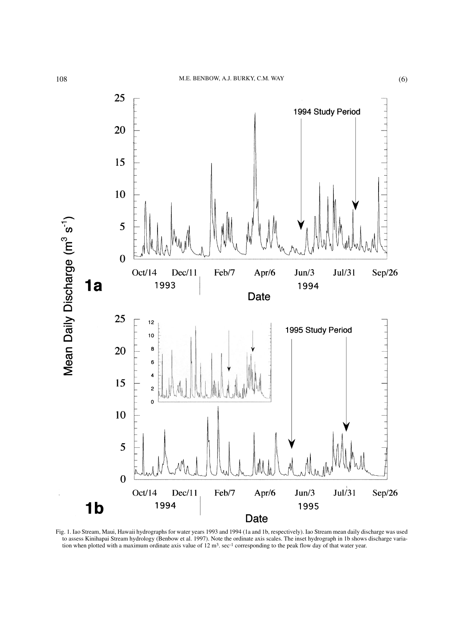

Fig. 1. Iao Stream, Maui, Hawaii hydrographs for water years 1993 and 1994 (1a and 1b, respectively). Iao Stream mean daily discharge was used to assess Kinihapai Stream hydrology (Benbow et al. 1997). Note the ordinate axis scales. The inset hydrograph in 1b shows discharge variation when plotted with a maximum ordinate axis value of 12 m<sup>3</sup>. sec<sup>-1</sup> corresponding to the peak flow day of that water year.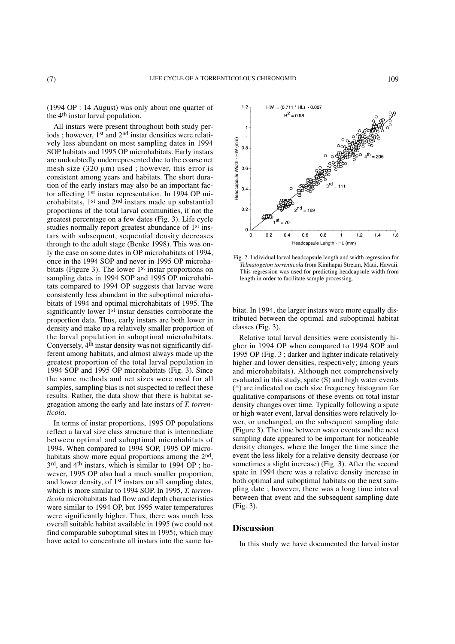(1994 OP : 14 August) was only about one quarter of the 4th instar larval population.

All instars were present throughout both study periods ; however, 1st and 2nd instar densities were relatively less abundant on most sampling dates in 1994 SOP habitats and 1995 OP microhabitats. Early instars are undoubtedly underrepresented due to the coarse net mesh size  $(320 \mu m)$  used; however, this error is consistent among years and habitats. The short duration of the early instars may also be an important factor affecting 1st instar representation. In 1994 OP microhabitats, 1st and 2nd instars made up substantial proportions of the total larval communities, if not the greatest percentage on a few dates (Fig. 3). Life cycle studies normally report greatest abundance of 1st instars with subsequent, sequential density decreases through to the adult stage (Benke 1998). This was only the case on some dates in OP microhabitats of 1994, once in the 1994 SOP and never in 1995 OP microhabitats (Figure 3). The lower 1st instar proportions on sampling dates in 1994 SOP and 1995 OP microhabitats compared to 1994 OP suggests that larvae were consistently less abundant in the suboptimal microhabitats of 1994 and optimal microhabitats of 1995. The significantly lower  $1<sup>st</sup>$  instar densities corroborate the proportion data. Thus, early instars are both lower in density and make up a relatively smaller proportion of the larval population in suboptimal microhabitats. Conversely, 4th instar density was not significantly different among habitats, and almost always made up the greatest proportion of the total larval population in 1994 SOP and 1995 OP microhabitats (Fig. 3). Since the same methods and net sizes were used for all samples, sampling bias is not suspected to reflect these results. Rather, the data show that there is habitat segregation among the early and late instars of *T. torrenticola*.

In terms of instar proportions, 1995 OP populations reflect a larval size class structure that is intermediate between optimal and suboptimal microhabitats of 1994. When compared to 1994 SOP, 1995 OP microhabitats show more equal proportions among the 2<sup>nd</sup>, 3rd, and 4th instars, which is similar to 1994 OP ; however, 1995 OP also had a much smaller proportion, and lower density, of 1st instars on all sampling dates, which is more similar to 1994 SOP. In 1995, *T. torrenticola* microhabitats had flow and depth characteristics were similar to 1994 OP, but 1995 water temperatures were significantly higher. Thus, there was much less overall suitable habitat available in 1995 (we could not find comparable suboptimal sites in 1995), which may have acted to concentrate all instars into the same ha-



Fig. 2. Individual larval headcapsule length and width regression for *Telmatogeton torrenticola* from Kinihapai Stream, Maui, Hawaii. This regression was used for predicting headcapsule width from length in order to facilitate sample processing.

bitat. In 1994, the larger instars were more equally distributed between the optimal and suboptimal habitat classes (Fig. 3).

Relative total larval densities were consistently higher in 1994 OP when compared to 1994 SOP and 1995 OP (Fig. 3 ; darker and lighter indicate relatively higher and lower densities, respectively; among years and microhabitats). Although not comprehensively evaluated in this study, spate (S) and high water events (\*) are indicated on each size frequency histogram for qualitative comparisons of these events on total instar density changes over time. Typically following a spate or high water event, larval densities were relatively lower, or unchanged, on the subsequent sampling date (Figure 3). The time between water events and the next sampling date appeared to be important for noticeable density changes, where the longer the time since the event the less likely for a relative density decrease (or sometimes a slight increase) (Fig. 3). After the second spate in 1994 there was a relative density increase in both optimal and suboptimal habitats on the next sampling date ; however, there was a long time interval between that event and the subsequent sampling date (Fig. 3).

## **Discussion**

In this study we have documented the larval instar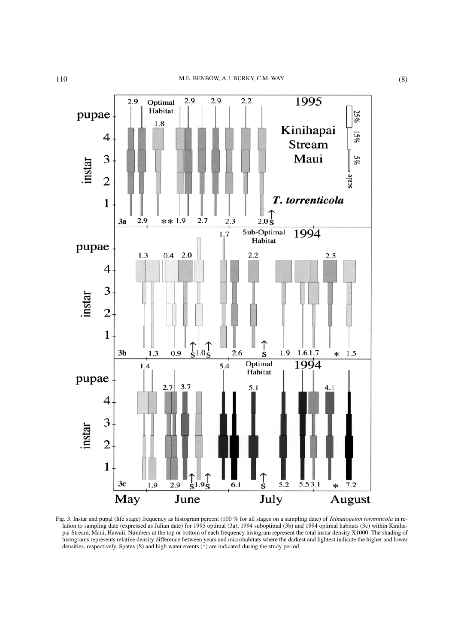$2.2$ 

2.9

2.9

Optimal

2.9





Fig. 3. Instar and pupal (life stage) frequency as histogram percent (100 % for all stages on a sampling date) of *Telmatogeton torrenticola* in relation to sampling date (expressed as Julian date) for 1995 optimal (3a), 1994 suboptimal (3b) and 1994 optimal habitats (3c) within Kinihapai Stream, Maui, Hawaii. Numbers at the top or bottom of each frequency histogram represent the total instar density X1000. The shading of histograms represents relative density difference between years and microhabitats where the darkest and lightest indicate the higher and lower densities, respectively. Spates (S) and high water events (\*) are indicated during the study period.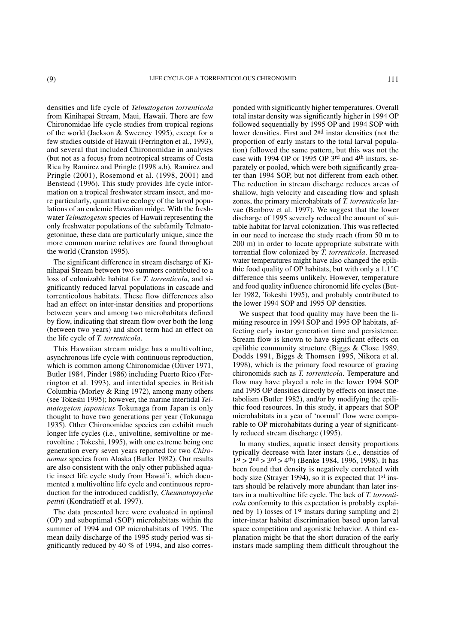densities and life cycle of *Telmatogeton torrenticola* from Kinihapai Stream, Maui, Hawaii. There are few Chironomidae life cycle studies from tropical regions of the world (Jackson & Sweeney 1995), except for a few studies outside of Hawaii (Ferrington et al., 1993), and several that included Chironomidae in analyses (but not as a focus) from neotropical streams of Costa Rica by Ramirez and Pringle (1998 a,b), Ramirez and Pringle (2001), Rosemond et al. (1998, 2001) and Benstead (1996). This study provides life cycle information on a tropical freshwater stream insect, and more particularly, quantitative ecology of the larval populations of an endemic Hawaiian midge. With the freshwater *Telmatogeton* species of Hawaii representing the only freshwater populations of the subfamily Telmatogetoninae, these data are particularly unique, since the more common marine relatives are found throughout the world (Cranston 1995).

The significant difference in stream discharge of Kinihapai Stream between two summers contributed to a loss of colonizable habitat for *T. torrenticola*, and significantly reduced larval populations in cascade and torrenticolous habitats. These flow differences also had an effect on inter-instar densities and proportions between years and among two microhabitats defined by flow, indicating that stream flow over both the long (between two years) and short term had an effect on the life cycle of *T. torrenticola*.

This Hawaiian stream midge has a multivoltine, asynchronous life cycle with continuous reproduction, which is common among Chironomidae (Oliver 1971, Butler 1984, Pinder 1986) including Puerto Rico (Ferrington et al. 1993), and intertidal species in British Columbia (Morley & Ring 1972), among many others (see Tokeshi 1995); however, the marine intertidal *Telmatogeton japonicus* Tokunaga from Japan is only thought to have two generations per year (Tokunaga 1935). Other Chironomidae species can exhibit much longer life cycles (i.e., univoltine, semivoltine or merovoltine ; Tokeshi, 1995), with one extreme being one generation every seven years reported for two *Chironomus* species from Alaska (Butler 1982). Our results are also consistent with the only other published aquatic insect life cycle study from Hawai'i, which documented a multivoltine life cycle and continuous reproduction for the introduced caddisfly, *Cheumatopsyche pettiti* (Kondratieff et al. 1997).

The data presented here were evaluated in optimal (OP) and suboptimal (SOP) microhabitats within the summer of 1994 and OP microhabitats of 1995. The mean daily discharge of the 1995 study period was significantly reduced by 40 % of 1994, and also corresponded with significantly higher temperatures. Overall total instar density was significantly higher in 1994 OP followed sequentially by 1995 OP and 1994 SOP with lower densities. First and 2nd instar densities (not the proportion of early instars to the total larval population) followed the same pattern, but this was not the case with 1994 OP or 1995 OP 3rd and 4th instars, separately or pooled, which were both significantly greater than 1994 SOP, but not different from each other. The reduction in stream discharge reduces areas of shallow, high velocity and cascading flow and splash zones, the primary microhabitats of *T. torrenticola* larvae (Benbow et al. 1997). We suggest that the lower discharge of 1995 severely reduced the amount of suitable habitat for larval colonization. This was reflected in our need to increase the study reach (from 50 m to 200 m) in order to locate appropriate substrate with torrential flow colonized by *T. torrenticola*. Increased water temperatures might have also changed the epilithic food quality of OP habitats, but with only a 1.1°C difference this seems unlikely. However, temperature and food quality influence chironomid life cycles (Butler 1982, Tokeshi 1995), and probably contributed to the lower 1994 SOP and 1995 OP densities.

We suspect that food quality may have been the limiting resource in 1994 SOP and 1995 OP habitats, affecting early instar generation time and persistence. Stream flow is known to have significant effects on epilithic community structure (Biggs & Close 1989, Dodds 1991, Biggs & Thomsen 1995, Nikora et al. 1998), which is the primary food resource of grazing chironomids such as *T. torrenticola*. Temperature and flow may have played a role in the lower 1994 SOP and 1995 OP densities directly by effects on insect metabolism (Butler 1982), and/or by modifying the epilithic food resources. In this study, it appears that SOP microhabitats in a year of 'normal' flow were comparable to OP microhabitats during a year of significantly reduced stream discharge (1995).

In many studies, aquatic insect density proportions typically decrease with later instars (i.e., densities of  $1<sup>st</sup> > 2<sup>nd</sup> > 3<sup>rd</sup> > 4<sup>th</sup>$  (Benke 1984, 1996, 1998). It has been found that density is negatively correlated with body size (Strayer 1994), so it is expected that 1st instars should be relatively more abundant than later instars in a multivoltine life cycle. The lack of *T. torrenticola* conformity to this expectation is probably explained by 1) losses of 1st instars during sampling and 2) inter-instar habitat discrimination based upon larval space competition and agonistic behavior. A third explanation might be that the short duration of the early instars made sampling them difficult throughout the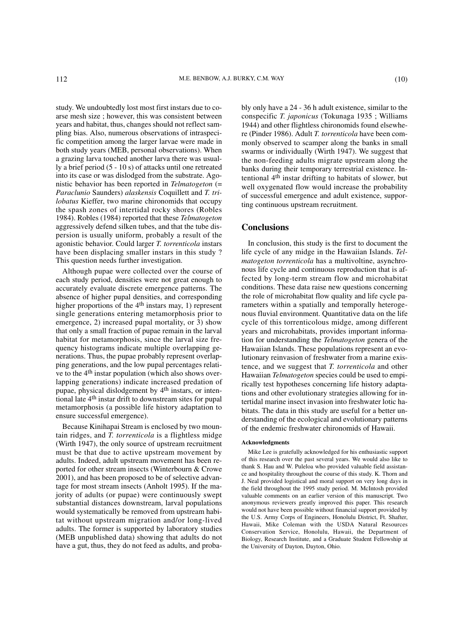study. We undoubtedly lost most first instars due to coarse mesh size ; however, this was consistent between years and habitat, thus, changes should not reflect sampling bias. Also, numerous observations of intraspecific competition among the larger larvae were made in both study years (MEB, personal observations). When a grazing larva touched another larva there was usually a brief period (5 - 10 s) of attacks until one retreated into its case or was dislodged from the substrate. Agonistic behavior has been reported in *Telmatogeton* (= *Paraclunio* Saunders) *alaskensis* Coquillett and *T. trilobatus* Kieffer, two marine chironomids that occupy the spash zones of intertidal rocky shores (Robles 1984). Robles (1984) reported that these *Telmatogeton* aggressively defend silken tubes, and that the tube dispersion is usually uniform, probably a result of the agonistic behavior. Could larger *T. torrenticola* instars have been displacing smaller instars in this study ? This question needs further investigation.

Although pupae were collected over the course of each study period, densities were not great enough to accurately evaluate discrete emergence patterns. The absence of higher pupal densities, and corresponding higher proportions of the 4<sup>th</sup> instars may, 1) represent single generations entering metamorphosis prior to emergence, 2) increased pupal mortality, or 3) show that only a small fraction of pupae remain in the larval habitat for metamorphosis, since the larval size frequency histograms indicate multiple overlapping generations. Thus, the pupae probably represent overlapping generations, and the low pupal percentages relative to the 4th instar population (which also shows overlapping generations) indicate increased predation of pupae, physical dislodgement by 4th instars, or intentional late 4th instar drift to downstream sites for pupal metamorphosis (a possible life history adaptation to ensure successful emergence).

Because Kinihapai Stream is enclosed by two mountain ridges, and *T. torrenticola* is a flightless midge (Wirth 1947), the only source of upstream recruitment must be that due to active upstream movement by adults. Indeed, adult upstream movement has been reported for other stream insects (Winterbourn & Crowe 2001), and has been proposed to be of selective advantage for most stream insects (Anholt 1995). If the majority of adults (or pupae) were continuously swept substantial distances downstream, larval populations would systematically be removed from upstream habitat without upstream migration and/or long-lived adults. The former is supported by laboratory studies (MEB unpublished data) showing that adults do not have a gut, thus, they do not feed as adults, and probably only have a 24 - 36 h adult existence, similar to the conspecific *T. japonicus* (Tokunaga 1935 ; Williams 1944) and other flightless chironomids found elsewhere (Pinder 1986). Adult *T. torrenticola* have been commonly observed to scamper along the banks in small swarms or individually (Wirth 1947). We suggest that the non-feeding adults migrate upstream along the banks during their temporary terrestrial existence. Intentional 4th instar drifting to habitats of slower, but well oxygenated flow would increase the probability of successful emergence and adult existence, supporting continuous upstream recruitment.

## **Conclusions**

In conclusion, this study is the first to document the life cycle of any midge in the Hawaiian Islands. *Telmatogeton torrenticola* has a multivoltine, asynchronous life cycle and continuous reproduction that is affected by long-term stream flow and microhabitat conditions. These data raise new questions concerning the role of microhabitat flow quality and life cycle parameters within a spatially and temporally heterogenous fluvial environment. Quantitative data on the life cycle of this torrenticolous midge, among different years and microhabitats, provides important information for understanding the *Telmatogeton* genera of the Hawaiian Islands. These populations represent an evolutionary reinvasion of freshwater from a marine existence, and we suggest that *T. torrenticola* and other Hawaiian *Telmatogeton* species could be used to empirically test hypotheses concerning life history adaptations and other evolutionary strategies allowing for intertidal marine insect invasion into freshwater lotic habitats. The data in this study are useful for a better understanding of the ecological and evolutionary patterns of the endemic freshwater chironomids of Hawaii.

#### **Acknowledgments**

Mike Lee is gratefully acknowledged for his enthusiastic support of this research over the past several years. We would also like to thank S. Hau and W. Puleloa who provided valuable field assistance and hospitality throughout the course of this study. K. Thorn and J. Neal provided logistical and moral support on very long days in the field throughout the 1995 study period. M. McIntosh provided valuable comments on an earlier version of this manuscript. Two anonymous reviewers greatly improved this paper. This research would not have been possible without financial support provided by the U.S. Army Corps of Engineers, Honolulu District, Ft. Shafter, Hawaii, Mike Coleman with the USDA Natural Resources Conservation Service, Honolulu, Hawaii, the Department of Biology, Research Institute, and a Graduate Student Fellowship at the University of Dayton, Dayton, Ohio.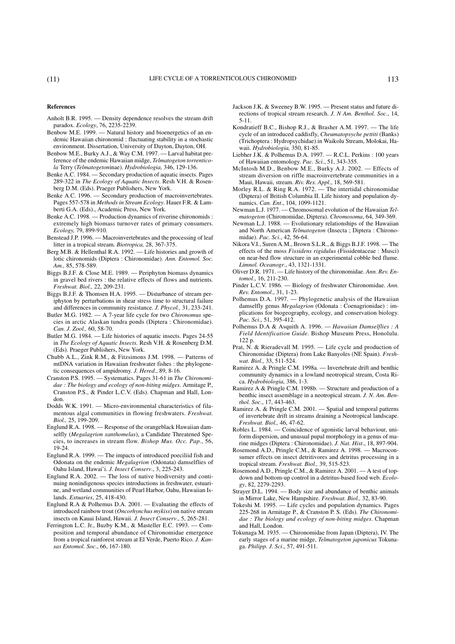#### **References**

- Anholt B.R. 1995. Density dependence resolves the stream drift paradox. *Ecology*, 76, 2235-2239.
- Benbow M.E. 1999. Natural history and bioenergetics of an endemic Hawaiian chironomid : fluctuating stability in a stochastic environment. Dissertation, University of Dayton, Dayton, OH.
- Benbow M.E., Burky A.J., & Way C.M. 1997. Larval habitat preference of the endemic Hawaiian midge, *Telmatogeton torrenticola* Terry (*Telmatogeton*inae). *Hydrobiologia,* 346, 129-136.
- Benke A.C. 1984. Secondary production of aquatic insects. Pages 289-322 in *The Ecology of Aquatic Insects*. Resh V.H. & Rosenberg D.M. (Eds). Praeger Publishers, New York.
- Benke A.C. 1996. Secondary production of macroinvertebrates. Pages 557-578 in *Methods in Stream Ecology*. Hauer F.R. & Lamberti G.A. (Eds)., Academic Press, New York.
- Benke A.C. 1998. Production dynamics of riverine chironomids : extremely high biomass turnover rates of primary consumers. *Ecology,* 79, 899-910.
- Benstead J.P. 1996. Macroinvertebrates and the processing of leaf litter in a tropical stream. *Biotropica,* 28, 367-375.
- Berg M.B. & Hellenthal R.A. 1992. Life histories and growth of lotic chironomids (Diptera : Chironomidae). *Ann. Entomol. Soc. Am.,* 85, 578-589.
- Biggs B.J.F. & Close M.E. 1989. Periphyton biomass dynamics in gravel bed rivers : the relative effects of flows and nutrients. *Freshwat. Biol.,* 22, 209-231.
- Biggs B.J.F. & Thomsen H.A. 1995. Disturbance of stream periphyton by perturbations in shear stress time to structural failure and differences in community resistance. *J. Phycol.,* 31, 233-241.
- Butler M.G. 1982. A 7-year life cycle for two *Chironomus* species in arctic Alaskan tundra ponds (Diptera : Chironomidae). *Can. J. Zool.,* 60, 58-70.
- Butler M.G. 1984. Life histories of aquatic insects. Pages 24-55 in *The Ecology of Aquatic Insects.* Resh V.H. & Rosenberg D.M. (Eds). Praeger Publishers, New York.
- Chubb A.L., Zink R.M., & Fitzsimons J.M. 1998. Patterns of mtDNA variation in Hawaiian freshwater fishes : the phylogenetic consequences of ampidromy. *J. Hered*., 89, 8-16.
- Cranston P.S. 1995. Systematics. Pages 31-61 in *The Chironomidae : The biology and ecology of non-biting midges*. Armitage P., Cranston P.S., & Pinder L.C.V. (Eds). Chapman and Hall, London.
- Dodds W.K. 1991. Micro-environmental characteristics of filamentous algal communities in flowing freshwaters. *Freshwat. Biol.,* 25, 199-209.
- Englund R.A. 1998. Response of the orangeblack Hawaiian damselfly (*Megalagrion xanthomelas*), a Candidate Threatened Species, to increases in stream flow. *Bishop Mus. Occ. Pap*., 56, 19-24.
- Englund R.A. 1999. The impacts of introduced poeciliid fish and Odonata on the endemic *Megalagrion* (Odonata) damselflies of Oahu Island, Hawai'i. *J. Insect Conserv*., 3, 225-243.
- Englund R.A. 2002. The loss of native biodiversity and continuing nonindigenous species introductions in freshwater, estuarine, and wetland communities of Pearl Harbor, Oahu, Hawaiian Islands. *Estuaries*, 25, 418-430.
- Englund R.A & Polhemus D.A. 2001. Evaluating the effects of introduced rainbow trout (*Oncorhynchus mykiss*) on native stream insects on Kauai Island, Hawaii. *J. Insect Conserv*., 5, 265-281.
- Ferrington L.C. Jr., Buzby K.M., & Masteller E.C. 1993. Composition and temporal abundance of Chironomidae emergence from a tropical rainforest stream at El Verde, Puerto Rico. *J. Kansas Entomol. Soc*., 66, 167-180.
- Jackson J.K. & Sweeney B.W. 1995. Present status and future directions of tropical stream research. *J. N Am. Benthol. Soc*., 14, 5-11.
- Kondratieff B.C., Bishop R.J., & Brasher A.M. 1997. The life cycle of an introduced caddisfly, *Cheumatopsyche pettiti* (Banks) (Trichoptera : Hydropsychidae) in Waikolu Stream, Molokai, Hawaii. *Hydrobiologia,* 350, 81-85.
- Liebher J.K. & Polhemus D.A. 1997. R.C.L. Perkins : 100 years of Hawaiian entomology. *Pac. Sci*., 51, 343-355.
- McIntosh M.D., Benbow M.E., Burky A.J. 2002. Effects of stream diversion on riffle macroinvertebrate communities in a Maui, Hawaii, stream. *Riv. Res. Appl*., 18, 569-581.
- Morley R.L. & Ring R.A. 1972. The intertidal chironomidae (Diptera) of British Columbia II. Life history and population dynamics. *Can. Ent*., 104, 1099-1121.
- Newman L.J. 1977. Chromosomal evolution of the Hawaiian *Telmatogeton* (Chironomidae, Diptera). *Chromosoma*, 64, 349-369.
- Newman L.J. 1988. Evolutionary relationships of the Hawaiian and North American *Telmatogeton* (Insecta ; Diptera : Chironomidae). *Pac. Sci*., 42, 56-64.
- Nikora V.I., Suren A.M., Brown S.L.R., & Biggs B.J.F. 1998. The effects of the moss *Fissidens rigidulus* (Fissidentaceae : Musci) on near-bed flow structure in an experimental cobble bed flume. *Limnol. Oceanogr*., 43, 1321-1331.
- Oliver D.R. 1971. Life history of the chironomidae. *Ann. Rev. Entomol*., 16, 211-230.
- Pinder L.C.V. 1986. Biology of freshwater Chironomidae. *Ann. Rev. Entomol*., 31, 1-23.
- Polhemus D.A. 1997. Phylogenetic analysis of the Hawaiian damselfly genus *Megalagrion* (Odonata : Coenagrionidae) : implications for biogeography, ecology, and conservation biology. *Pac. Sci*., 51, 395-412.
- Polhemus D.A & Asquith A. 1996. *Hawaiian Damselflies : A Field Identification Guide*. Bishop Museum Press, Honolulu. 122 p.
- Prat, N. & Rieradevall M. 1995. Life cycle and production of Chironomidae (Diptera) from Lake Banyoles (NE Spain). *Freshwat. Biol.,* 33, 511-524.
- Ramirez A. & Pringle C.M. 1998a. Invertebrate drift and benthic community dynamics in a lowland neotropical stream, Costa Rica. *Hydrobiologia,* 386, 1-3.
- Ramirez A & Pringle C.M. 1998b. Structure and production of a benthic insect assemblage in a neotropical stream. *J. N. Am. Benthol. Soc*., 17, 443-463.
- Ramirez A. & Pringle C.M. 2001. Spatial and temporal patterns of invertebrate drift in streams draining a Neotropical landscape. *Freshwat. Biol.,* 46, 47-62.
- Robles L. 1984. Coincidence of agonistic larval behaviour, uniform dispersion, and unusual pupal morphology in a genus of marine midges (Diptera : Chironomidae). *J. Nat. Hist*., 18, 897-904.
- Rosemond A.D., Pringle C.M., & Ramirez A. 1998. Macroconsumer effects on insect detritivores and detritus processing in a tropical stream. *Freshwat. Biol.,* 39, 515-523.
- Rosemond A.D., Pringle C.M., & Ramirez A. 2001. A test of topdown and bottom-up control in a detritus-based food web. *Ecology*, 82, 2279-2293.
- Strayer D.L. 1994. Body size and abundance of benthic animals in Mirror Lake, New Hampshire. *Freshwat. Biol.,* 32, 83-90.
- Tokeshi M. 1995. Life cycles and population dynamics. Pages 225-268 in Armitage P., & Cranston P. S. (Eds). *The Chironomidae : The biology and ecology of non-biting midges*. Chapman and Hall, London.
- Tokunaga M. 1935. Chironomidae from Japan (Diptera), IV. The early stages of a marine midge, *Telmatogeton japonicus* Tokunaga. *Philipp. J. Sci*., 57, 491-511.